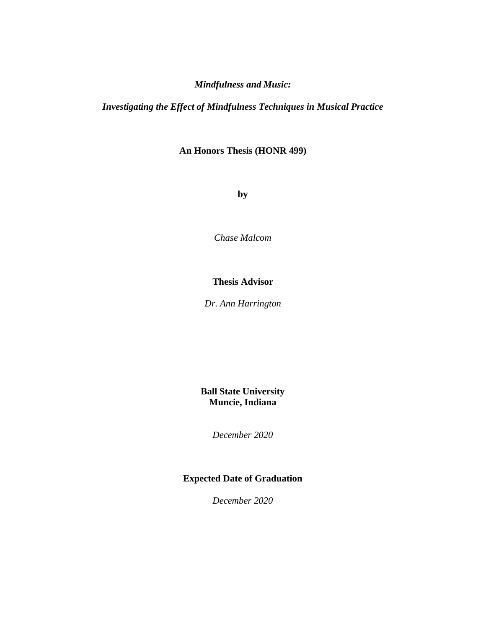# *Mindfulness and Music:*

# *Investigating the Effect of Mindfulness Techniques in Musical Practice*

# **An Honors Thesis (HONR 499)**

**by**

*Chase Malcom*

# **Thesis Advisor**

*Dr. Ann Harrington*

**Ball State University Muncie, Indiana**

*December 2020*

# **Expected Date of Graduation**

*December 2020*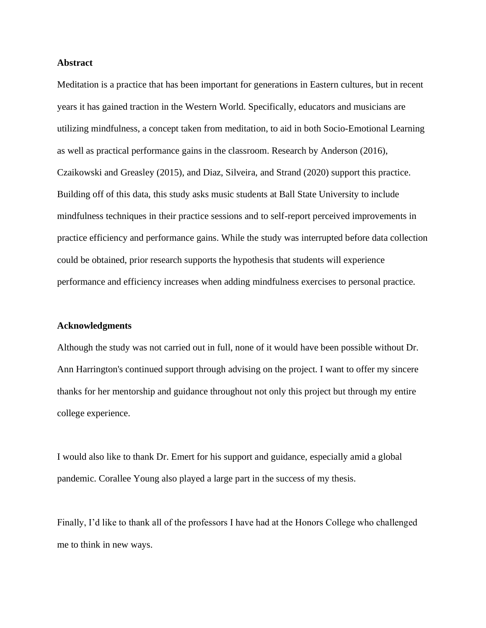### **Abstract**

Meditation is a practice that has been important for generations in Eastern cultures, but in recent years it has gained traction in the Western World. Specifically, educators and musicians are utilizing mindfulness, a concept taken from meditation, to aid in both Socio-Emotional Learning as well as practical performance gains in the classroom. Research by Anderson (2016), Czaikowski and Greasley (2015), and Diaz, Silveira, and Strand (2020) support this practice. Building off of this data, this study asks music students at Ball State University to include mindfulness techniques in their practice sessions and to self-report perceived improvements in practice efficiency and performance gains. While the study was interrupted before data collection could be obtained, prior research supports the hypothesis that students will experience performance and efficiency increases when adding mindfulness exercises to personal practice.

#### **Acknowledgments**

Although the study was not carried out in full, none of it would have been possible without Dr. Ann Harrington's continued support through advising on the project. I want to offer my sincere thanks for her mentorship and guidance throughout not only this project but through my entire college experience.

I would also like to thank Dr. Emert for his support and guidance, especially amid a global pandemic. Corallee Young also played a large part in the success of my thesis.

Finally, I'd like to thank all of the professors I have had at the Honors College who challenged me to think in new ways.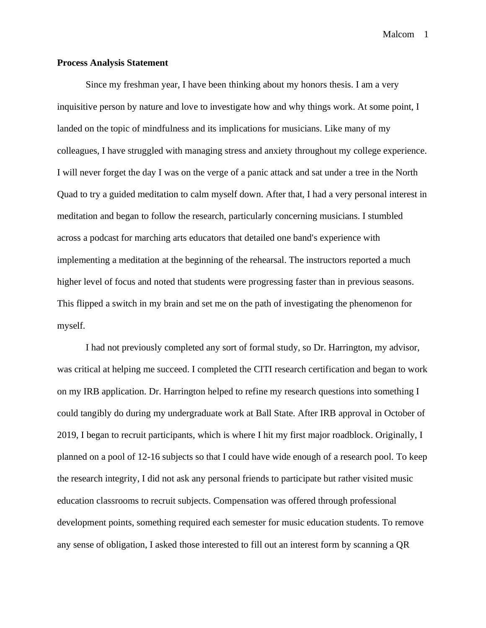### **Process Analysis Statement**

Since my freshman year, I have been thinking about my honors thesis. I am a very inquisitive person by nature and love to investigate how and why things work. At some point, I landed on the topic of mindfulness and its implications for musicians. Like many of my colleagues, I have struggled with managing stress and anxiety throughout my college experience. I will never forget the day I was on the verge of a panic attack and sat under a tree in the North Quad to try a guided meditation to calm myself down. After that, I had a very personal interest in meditation and began to follow the research, particularly concerning musicians. I stumbled across a podcast for marching arts educators that detailed one band's experience with implementing a meditation at the beginning of the rehearsal. The instructors reported a much higher level of focus and noted that students were progressing faster than in previous seasons. This flipped a switch in my brain and set me on the path of investigating the phenomenon for myself.

I had not previously completed any sort of formal study, so Dr. Harrington, my advisor, was critical at helping me succeed. I completed the CITI research certification and began to work on my IRB application. Dr. Harrington helped to refine my research questions into something I could tangibly do during my undergraduate work at Ball State. After IRB approval in October of 2019, I began to recruit participants, which is where I hit my first major roadblock. Originally, I planned on a pool of 12-16 subjects so that I could have wide enough of a research pool. To keep the research integrity, I did not ask any personal friends to participate but rather visited music education classrooms to recruit subjects. Compensation was offered through professional development points, something required each semester for music education students. To remove any sense of obligation, I asked those interested to fill out an interest form by scanning a QR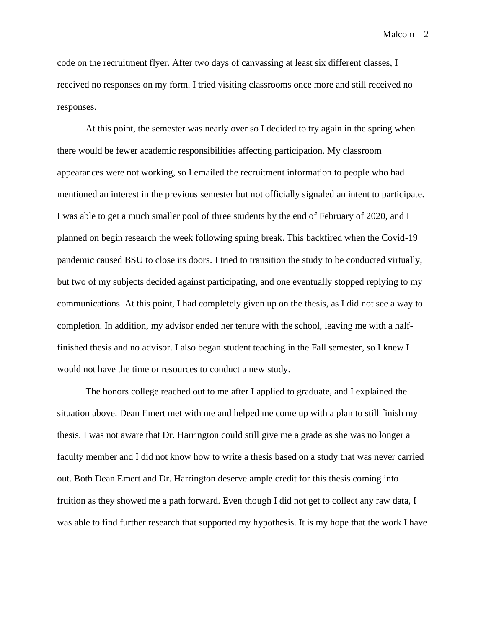code on the recruitment flyer. After two days of canvassing at least six different classes, I received no responses on my form. I tried visiting classrooms once more and still received no responses.

At this point, the semester was nearly over so I decided to try again in the spring when there would be fewer academic responsibilities affecting participation. My classroom appearances were not working, so I emailed the recruitment information to people who had mentioned an interest in the previous semester but not officially signaled an intent to participate. I was able to get a much smaller pool of three students by the end of February of 2020, and I planned on begin research the week following spring break. This backfired when the Covid-19 pandemic caused BSU to close its doors. I tried to transition the study to be conducted virtually, but two of my subjects decided against participating, and one eventually stopped replying to my communications. At this point, I had completely given up on the thesis, as I did not see a way to completion. In addition, my advisor ended her tenure with the school, leaving me with a halffinished thesis and no advisor. I also began student teaching in the Fall semester, so I knew I would not have the time or resources to conduct a new study.

The honors college reached out to me after I applied to graduate, and I explained the situation above. Dean Emert met with me and helped me come up with a plan to still finish my thesis. I was not aware that Dr. Harrington could still give me a grade as she was no longer a faculty member and I did not know how to write a thesis based on a study that was never carried out. Both Dean Emert and Dr. Harrington deserve ample credit for this thesis coming into fruition as they showed me a path forward. Even though I did not get to collect any raw data, I was able to find further research that supported my hypothesis. It is my hope that the work I have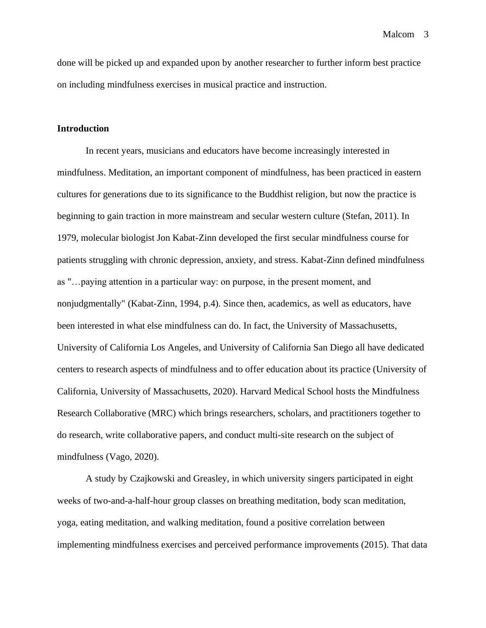done will be picked up and expanded upon by another researcher to further inform best practice on including mindfulness exercises in musical practice and instruction.

### **Introduction**

In recent years, musicians and educators have become increasingly interested in mindfulness. Meditation, an important component of mindfulness, has been practiced in eastern cultures for generations due to its significance to the Buddhist religion, but now the practice is beginning to gain traction in more mainstream and secular western culture (Stefan, 2011). In 1979, molecular biologist Jon Kabat-Zinn developed the first secular mindfulness course for patients struggling with chronic depression, anxiety, and stress. Kabat-Zinn defined mindfulness as "…paying attention in a particular way: on purpose, in the present moment, and nonjudgmentally" (Kabat-Zinn, 1994, p.4). Since then, academics, as well as educators, have been interested in what else mindfulness can do. In fact, the University of Massachusetts, University of California Los Angeles, and University of California San Diego all have dedicated centers to research aspects of mindfulness and to offer education about its practice (University of California, University of Massachusetts, 2020). Harvard Medical School hosts the Mindfulness Research Collaborative (MRC) which brings researchers, scholars, and practitioners together to do research, write collaborative papers, and conduct multi-site research on the subject of mindfulness (Vago, 2020).

A study by Czajkowski and Greasley, in which university singers participated in eight weeks of two-and-a-half-hour group classes on breathing meditation, body scan meditation, yoga, eating meditation, and walking meditation, found a positive correlation between implementing mindfulness exercises and perceived performance improvements (2015). That data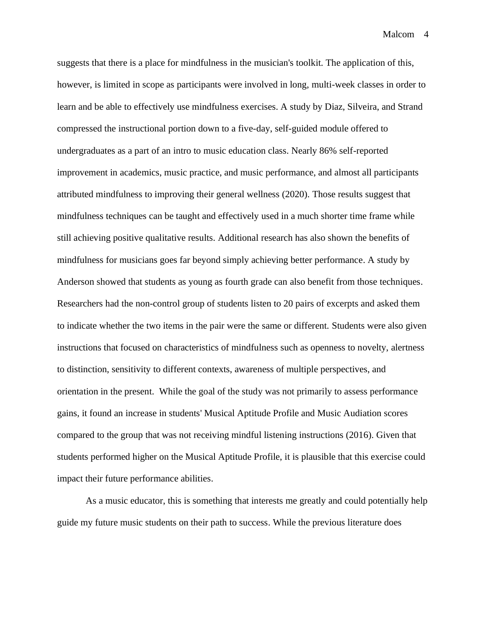suggests that there is a place for mindfulness in the musician's toolkit. The application of this, however, is limited in scope as participants were involved in long, multi-week classes in order to learn and be able to effectively use mindfulness exercises. A study by Diaz, Silveira, and Strand compressed the instructional portion down to a five-day, self-guided module offered to undergraduates as a part of an intro to music education class. Nearly 86% self-reported improvement in academics, music practice, and music performance, and almost all participants attributed mindfulness to improving their general wellness (2020). Those results suggest that mindfulness techniques can be taught and effectively used in a much shorter time frame while still achieving positive qualitative results. Additional research has also shown the benefits of mindfulness for musicians goes far beyond simply achieving better performance. A study by Anderson showed that students as young as fourth grade can also benefit from those techniques. Researchers had the non-control group of students listen to 20 pairs of excerpts and asked them to indicate whether the two items in the pair were the same or different. Students were also given instructions that focused on characteristics of mindfulness such as openness to novelty, alertness to distinction, sensitivity to different contexts, awareness of multiple perspectives, and orientation in the present. While the goal of the study was not primarily to assess performance gains, it found an increase in students' Musical Aptitude Profile and Music Audiation scores compared to the group that was not receiving mindful listening instructions (2016). Given that students performed higher on the Musical Aptitude Profile, it is plausible that this exercise could impact their future performance abilities.

As a music educator, this is something that interests me greatly and could potentially help guide my future music students on their path to success. While the previous literature does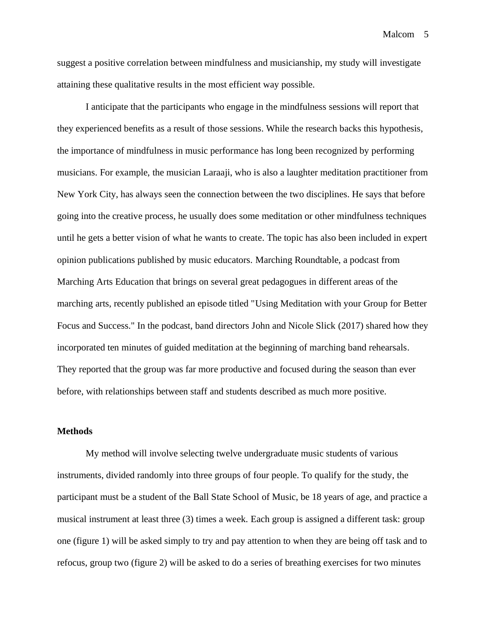Malcom<sub>5</sub>

suggest a positive correlation between mindfulness and musicianship, my study will investigate attaining these qualitative results in the most efficient way possible.

I anticipate that the participants who engage in the mindfulness sessions will report that they experienced benefits as a result of those sessions. While the research backs this hypothesis, the importance of mindfulness in music performance has long been recognized by performing musicians. For example, the musician Laraaji, who is also a laughter meditation practitioner from New York City, has always seen the connection between the two disciplines. He says that before going into the creative process, he usually does some meditation or other mindfulness techniques until he gets a better vision of what he wants to create. The topic has also been included in expert opinion publications published by music educators. Marching Roundtable, a podcast from Marching Arts Education that brings on several great pedagogues in different areas of the marching arts, recently published an episode titled "Using Meditation with your Group for Better Focus and Success." In the podcast, band directors John and Nicole Slick (2017) shared how they incorporated ten minutes of guided meditation at the beginning of marching band rehearsals. They reported that the group was far more productive and focused during the season than ever before, with relationships between staff and students described as much more positive.

#### **Methods**

My method will involve selecting twelve undergraduate music students of various instruments, divided randomly into three groups of four people. To qualify for the study, the participant must be a student of the Ball State School of Music, be 18 years of age, and practice a musical instrument at least three (3) times a week. Each group is assigned a different task: group one (figure 1) will be asked simply to try and pay attention to when they are being off task and to refocus, group two (figure 2) will be asked to do a series of breathing exercises for two minutes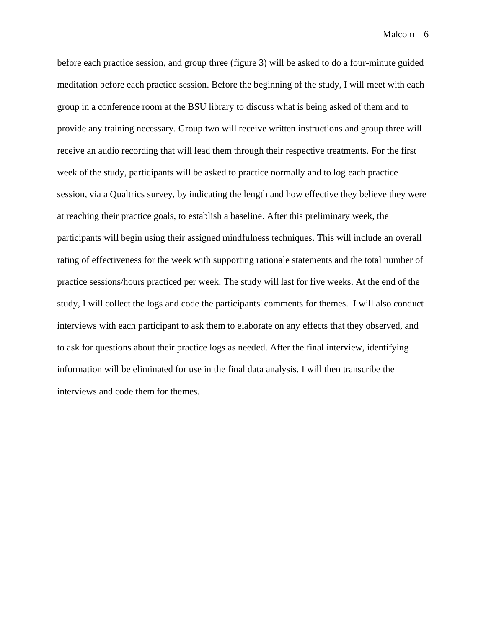before each practice session, and group three (figure 3) will be asked to do a four-minute guided meditation before each practice session. Before the beginning of the study, I will meet with each group in a conference room at the BSU library to discuss what is being asked of them and to provide any training necessary. Group two will receive written instructions and group three will receive an audio recording that will lead them through their respective treatments. For the first week of the study, participants will be asked to practice normally and to log each practice session, via a Qualtrics survey, by indicating the length and how effective they believe they were at reaching their practice goals, to establish a baseline. After this preliminary week, the participants will begin using their assigned mindfulness techniques. This will include an overall rating of effectiveness for the week with supporting rationale statements and the total number of practice sessions/hours practiced per week. The study will last for five weeks. At the end of the study, I will collect the logs and code the participants' comments for themes. I will also conduct interviews with each participant to ask them to elaborate on any effects that they observed, and to ask for questions about their practice logs as needed. After the final interview, identifying information will be eliminated for use in the final data analysis. I will then transcribe the interviews and code them for themes.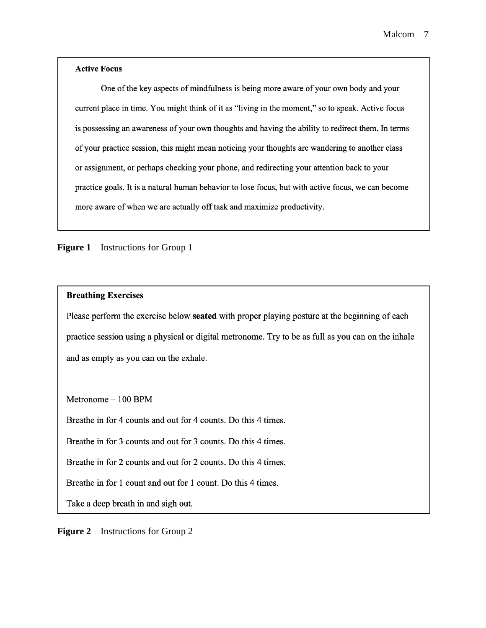### **Active Focus**

One of the key aspects of mindfulness is being more aware of your own body and your current place in time. You might think of it as "living in the moment," so to speak. Active focus is possessing an awareness of your own thoughts and having the ability to redirect them. In terms of your practice session, this might mean noticing your thoughts are wandering to another class or assignment, or perhaps checking your phone, and redirecting your attention back to your practice goals. It is a natural human behavior to lose focus, but with active focus, we can become more aware of when we are actually off task and maximize productivity.

**Figure 1** – Instructions for Group 1

### **Breathing Exercises**

Please perform the exercise below **seated** with proper playing posture at the beginning of each practice session using a physical or digital metronome. Try to be as full as you can on the inhale and as empty as you can on the exhale.

 $Metronome-100$  BPM

Breathe in for 4 counts and out for 4 counts. Do this 4 times.

Breathe in for 3 counts and out for 3 counts. Do this 4 times.

Breathe in for 2 counts and out for 2 counts. Do this 4 times.

Breathe in for 1 count and out for 1 count. Do this 4 times.

Take a deep breath in and sigh out.

**Figure 2** – Instructions for Group 2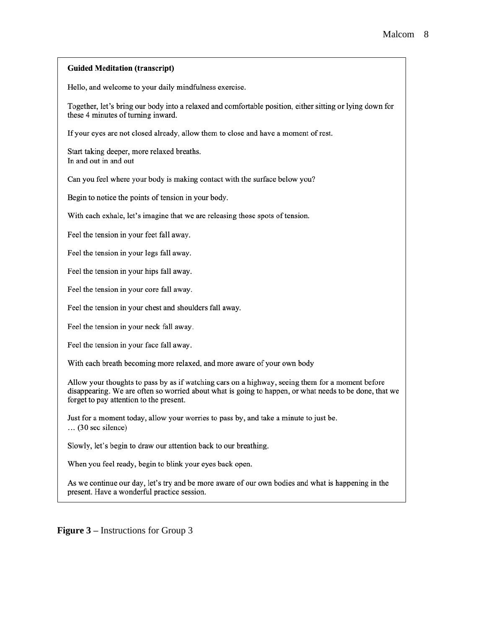#### **Guided Meditation (transcript)**

Hello, and welcome to your daily mindfulness exercise.

Together, let's bring our body into a relaxed and comfortable position, either sitting or lying down for these 4 minutes of turning inward.

If your eyes are not closed already, allow them to close and have a moment of rest.

Start taking deeper, more relaxed breaths. In and out in and out

Can you feel where your body is making contact with the surface below you?

Begin to notice the points of tension in your body.

With each exhale, let's imagine that we are releasing those spots of tension.

Feel the tension in your feet fall away.

Feel the tension in your legs fall away.

Feel the tension in your hips fall away.

Feel the tension in your core fall away.

Feel the tension in your chest and shoulders fall away.

Feel the tension in your neck fall away.

Feel the tension in your face fall away.

With each breath becoming more relaxed, and more aware of your own body

Allow your thoughts to pass by as if watching cars on a highway, seeing them for a moment before disappearing. We are often so worried about what is going to happen, or what needs to be done, that we forget to pay attention to the present.

Just for a moment today, allow your worries to pass by, and take a minute to just be.  $\ldots$  (30 sec silence)

Slowly, let's begin to draw our attention back to our breathing.

When you feel ready, begin to blink your eyes back open.

As we continue our day, let's try and be more aware of our own bodies and what is happening in the present. Have a wonderful practice session.

**Figure 3 –** Instructions for Group 3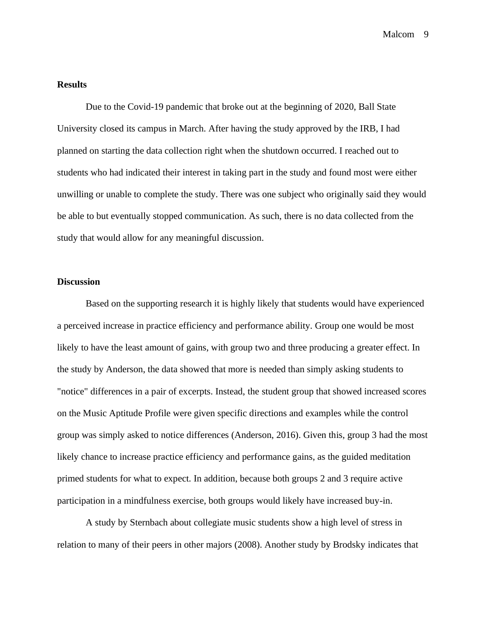### **Results**

Due to the Covid-19 pandemic that broke out at the beginning of 2020, Ball State University closed its campus in March. After having the study approved by the IRB, I had planned on starting the data collection right when the shutdown occurred. I reached out to students who had indicated their interest in taking part in the study and found most were either unwilling or unable to complete the study. There was one subject who originally said they would be able to but eventually stopped communication. As such, there is no data collected from the study that would allow for any meaningful discussion.

### **Discussion**

Based on the supporting research it is highly likely that students would have experienced a perceived increase in practice efficiency and performance ability. Group one would be most likely to have the least amount of gains, with group two and three producing a greater effect. In the study by Anderson, the data showed that more is needed than simply asking students to "notice" differences in a pair of excerpts. Instead, the student group that showed increased scores on the Music Aptitude Profile were given specific directions and examples while the control group was simply asked to notice differences (Anderson, 2016). Given this, group 3 had the most likely chance to increase practice efficiency and performance gains, as the guided meditation primed students for what to expect. In addition, because both groups 2 and 3 require active participation in a mindfulness exercise, both groups would likely have increased buy-in.

A study by Sternbach about collegiate music students show a high level of stress in relation to many of their peers in other majors (2008). Another study by Brodsky indicates that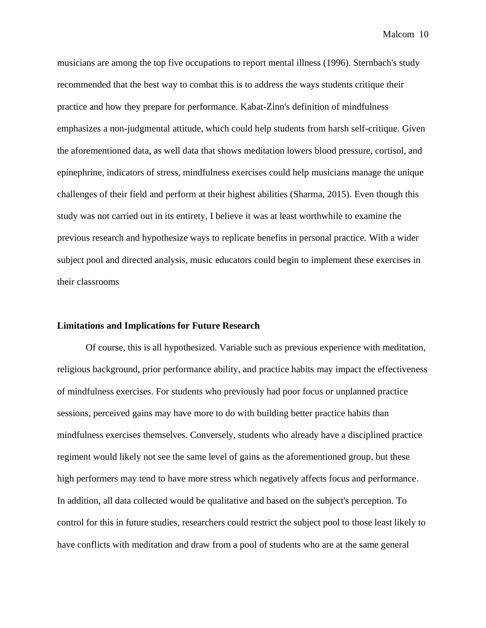musicians are among the top five occupations to report mental illness (1996). Sternbach's study recommended that the best way to combat this is to address the ways students critique their practice and how they prepare for performance. Kabat-Zinn's definition of mindfulness emphasizes a non-judgmental attitude, which could help students from harsh self-critique. Given the aforementioned data, as well data that shows meditation lowers blood pressure, cortisol, and epinephrine, indicators of stress, mindfulness exercises could help musicians manage the unique challenges of their field and perform at their highest abilities (Sharma, 2015). Even though this study was not carried out in its entirety, I believe it was at least worthwhile to examine the previous research and hypothesize ways to replicate benefits in personal practice. With a wider subject pool and directed analysis, music educators could begin to implement these exercises in their classrooms

### **Limitations and Implications for Future Research**

Of course, this is all hypothesized. Variable such as previous experience with meditation, religious background, prior performance ability, and practice habits may impact the effectiveness of mindfulness exercises. For students who previously had poor focus or unplanned practice sessions, perceived gains may have more to do with building better practice habits than mindfulness exercises themselves. Conversely, students who already have a disciplined practice regiment would likely not see the same level of gains as the aforementioned group, but these high performers may tend to have more stress which negatively affects focus and performance. In addition, all data collected would be qualitative and based on the subject's perception. To control for this in future studies, researchers could restrict the subject pool to those least likely to have conflicts with meditation and draw from a pool of students who are at the same general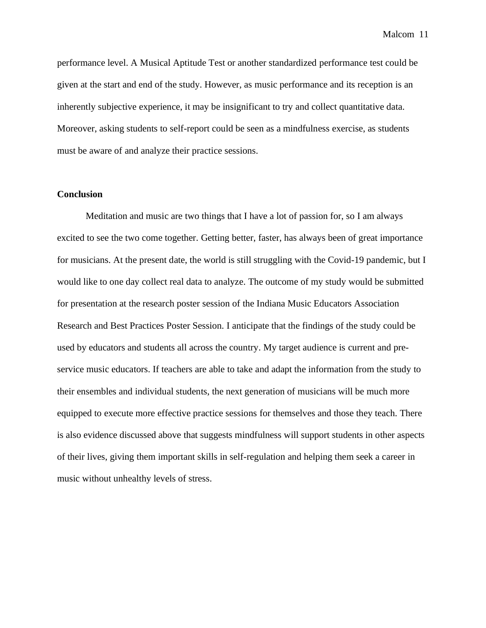performance level. A Musical Aptitude Test or another standardized performance test could be given at the start and end of the study. However, as music performance and its reception is an inherently subjective experience, it may be insignificant to try and collect quantitative data. Moreover, asking students to self-report could be seen as a mindfulness exercise, as students must be aware of and analyze their practice sessions.

### **Conclusion**

Meditation and music are two things that I have a lot of passion for, so I am always excited to see the two come together. Getting better, faster, has always been of great importance for musicians. At the present date, the world is still struggling with the Covid-19 pandemic, but I would like to one day collect real data to analyze. The outcome of my study would be submitted for presentation at the research poster session of the Indiana Music Educators Association Research and Best Practices Poster Session. I anticipate that the findings of the study could be used by educators and students all across the country. My target audience is current and preservice music educators. If teachers are able to take and adapt the information from the study to their ensembles and individual students, the next generation of musicians will be much more equipped to execute more effective practice sessions for themselves and those they teach. There is also evidence discussed above that suggests mindfulness will support students in other aspects of their lives, giving them important skills in self-regulation and helping them seek a career in music without unhealthy levels of stress.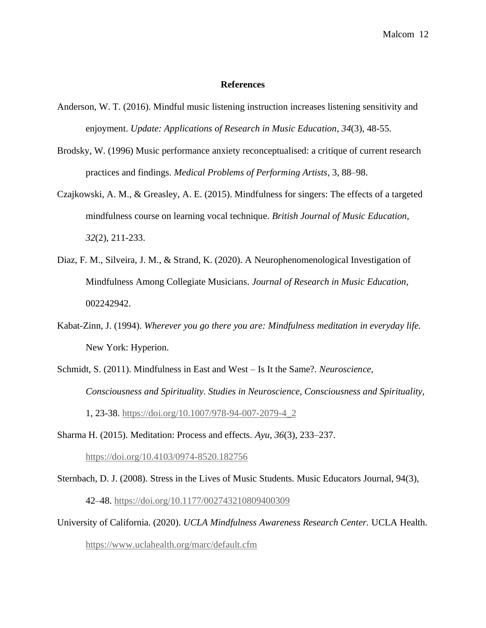### **References**

- Anderson, W. T. (2016). Mindful music listening instruction increases listening sensitivity and enjoyment. *Update: Applications of Research in Music Education*, *34*(3), 48-55.
- Brodsky, W. (1996) Music performance anxiety reconceptualised: a critique of current research practices and findings. *Medical Problems of Performing Artists*, 3, 88–98.
- Czajkowski, A. M., & Greasley, A. E. (2015). Mindfulness for singers: The effects of a targeted mindfulness course on learning vocal technique. *British Journal of Music Education*, *32*(2), 211-233.
- Diaz, F. M., Silveira, J. M., & Strand, K. (2020). A Neurophenomenological Investigation of Mindfulness Among Collegiate Musicians. *Journal of Research in Music Education*, 002242942.
- Kabat-Zinn, J. (1994). *Wherever you go there you are: Mindfulness meditation in everyday life.*  New York: Hyperion.
- Schmidt, S. (2011). Mindfulness in East and West Is It the Same?. *Neuroscience, Consciousness and Spirituality. Studies in Neuroscience, Consciousness and Spirituality,*  1, 23-38. [https://doi.org/10.1007/978-94-007-2079-4\\_2](https://doi.org/10.1007/978-94-007-2079-4_2)
- Sharma H. (2015). Meditation: Process and effects. *Ayu*, *36*(3), 233–237. <https://doi.org/10.4103/0974-8520.182756>
- Sternbach, D. J. (2008). Stress in the Lives of Music Students. Music Educators Journal, 94(3), 42–48.<https://doi.org/10.1177/002743210809400309>
- University of California. (2020). *UCLA Mindfulness Awareness Research Center.* UCLA Health. <https://www.uclahealth.org/marc/default.cfm>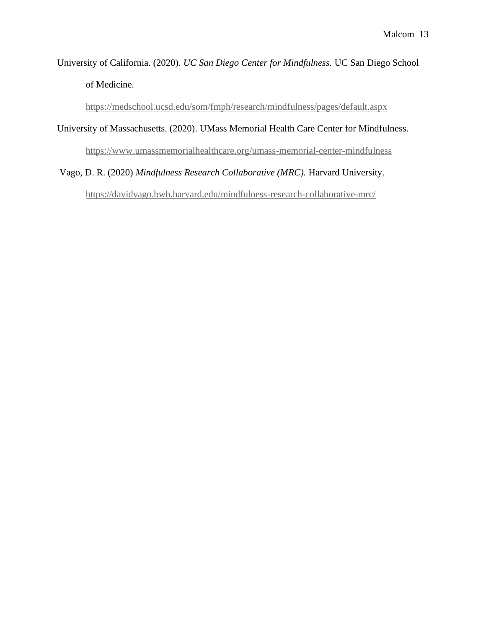# University of California. (2020). *UC San Diego Center for Mindfulness.* UC San Diego School of Medicine.

<https://medschool.ucsd.edu/som/fmph/research/mindfulness/pages/default.aspx>

# University of Massachusetts. (2020). UMass Memorial Health Care Center for Mindfulness.

<https://www.umassmemorialhealthcare.org/umass-memorial-center-mindfulness>

# Vago, D. R. (2020) *Mindfulness Research Collaborative (MRC).* Harvard University.

<https://davidvago.bwh.harvard.edu/mindfulness-research-collaborative-mrc/>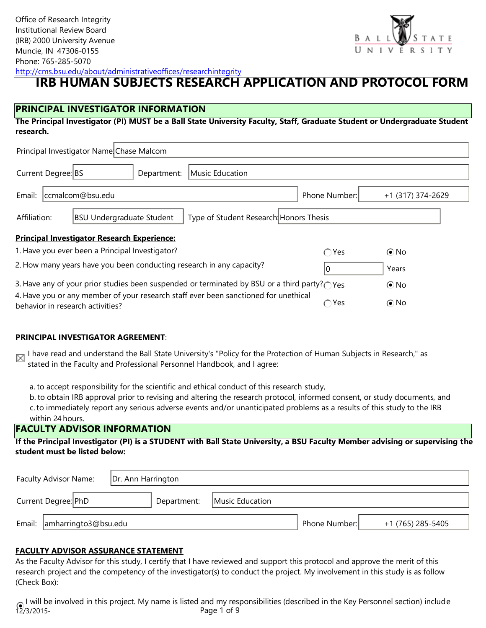

<http://cms.bsu.edu/about/administrativeoffices/researchintegrity>

# **IRB HUMAN SUBJECTS RESEARCH APPLICATION AND PROTOCOL FORM**

# **PRINCIPAL INVESTIGATOR INFORMATION**

**The Principal Investigator (PI) MUST be a Ball State University Faculty, Staff, Graduate Student or Undergraduate Student research.**

| Principal Investigator Name Chase Malcom                                                                         |                                                                                                                                                        |                                                 |             |                 |                |                   |  |
|------------------------------------------------------------------------------------------------------------------|--------------------------------------------------------------------------------------------------------------------------------------------------------|-------------------------------------------------|-------------|-----------------|----------------|-------------------|--|
| Current Degree: BS                                                                                               |                                                                                                                                                        |                                                 | Department: | Music Education |                |                   |  |
| Email:                                                                                                           |                                                                                                                                                        | ccmalcom@bsu.edu                                |             |                 | Phone Number:  | +1 (317) 374-2629 |  |
|                                                                                                                  | Type of Student Research Honors Thesis<br>Affiliation:<br><b>BSU Undergraduate Student</b>                                                             |                                                 |             |                 |                |                   |  |
| <b>Principal Investigator Research Experience:</b>                                                               |                                                                                                                                                        |                                                 |             |                 |                |                   |  |
|                                                                                                                  |                                                                                                                                                        | 1. Have you ever been a Principal Investigator? |             |                 | $\bigcirc$ Yes | $\odot$ No        |  |
|                                                                                                                  | 2. How many years have you been conducting research in any capacity?<br>Years                                                                          |                                                 |             |                 |                |                   |  |
| 3. Have any of your prior studies been suspended or terminated by BSU or a third party? $\cap$ Yes<br>$\odot$ No |                                                                                                                                                        |                                                 |             |                 |                |                   |  |
|                                                                                                                  | 4. Have you or any member of your research staff ever been sanctioned for unethical<br>$\odot$ No<br>$\bigcap$ Yes<br>behavior in research activities? |                                                 |             |                 |                |                   |  |

### **PRINCIPAL INVESTIGATOR AGREEMENT**:

I have read and understand the Ball State University's "Policy for the Protection of Human Subjects in Research," as stated in the Faculty and Professional Personnel Handbook, and I agree:

a. to accept responsibility for the scientific and ethical conduct of this research study,

b. to obtain IRB approval prior to revising and altering the research protocol, informed consent, or study documents, and c.to immediately report any serious adverse events and/or unanticipated problems as a results of this study to the IRB within 24 hours.

### **FACULTY ADVISOR INFORMATION**

**If the Principal Investigator (PI) is a STUDENT with Ball State University, a BSU Faculty Member advising or supervising the student must be listed below:**

| Faculty Advisor Name:       | Dr. Ann Harrington |             |                 |               |                   |
|-----------------------------|--------------------|-------------|-----------------|---------------|-------------------|
| Current Degree: PhD         |                    | Department: | Music Education |               |                   |
| Email: amharringto3@bsu.edu |                    |             |                 | Phone Number: | +1 (765) 285-5405 |

### **FACULTY ADVISOR ASSURANCE STATEMENT**

As the Faculty Advisor for this study, I certify that I have reviewed and support this protocol and approve the merit of this research project and the competency of the investigator(s) to conduct the project. My involvement in this study is as follow (Check Box):

 $12/3/2015$ -I will be involved in this project. My name is listed and my responsibilities (described in the Key Personnel section) include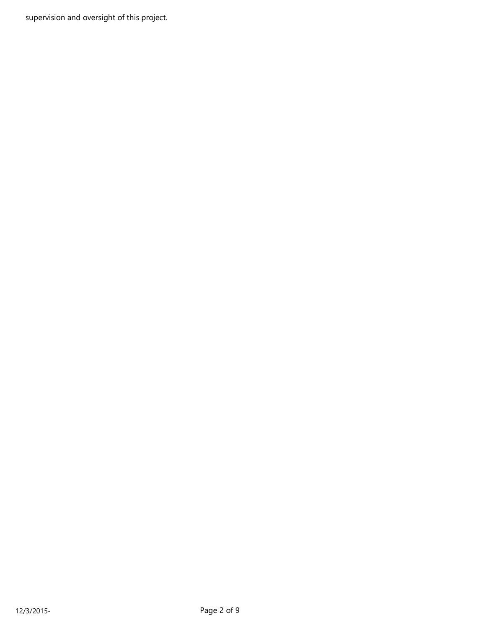supervision and oversight of this project.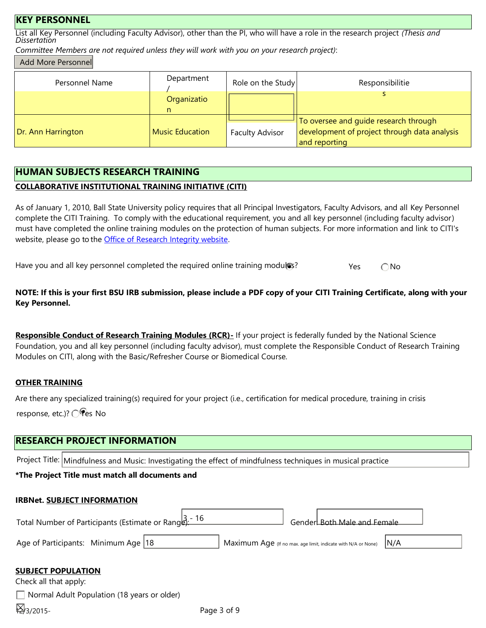### **KEY PERSONNEL**

List all Key Personnel (including Faculty Advisor), other than the PI, who will have a role in the research project *(Thesis and Dissertation*

*Committee Members are not required unless they will work with you on your research project)*:

### Add More Personnel

| Personnel Name     | Department      | Role on the Study      | Responsibilitie                                               |
|--------------------|-----------------|------------------------|---------------------------------------------------------------|
|                    | Organizatio     |                        |                                                               |
|                    |                 |                        | To oversee and quide research through                         |
| Dr. Ann Harrington | Music Education | <b>Faculty Advisor</b> | development of project through data analysis<br>and reporting |

# **HUMAN SUBJECTS RESEARCH TRAINING**

### **COLLABORATIVE INSTITUTIONAL TRAINING INITIATIVE (CITI)**

As of January 1, 2010, Ball State University policy requires that all Principal Investigators, Faculty Advisors, and all Key Personnel complete the CITI Training. To comply with the educational requirement, you and all key personnel (including faculty advisor) must have completed the online training modules on the protection of human subjects. For more information and link to CITI's website, please go to the Office of Research Integrity website.

Have you and all key personnel completed the required online training modul<sup>35?</sup> Yes  $\bigcap$  No

**NOTE: If this is your first BSU IRB submission, please include a PDF copy of your CITI Training Certificate, along with your Key Personnel.**

Responsible Conduct of Research Training Modules (RCR)- If your project is federally funded by the National Science Foundation, you and all key personnel (including faculty advisor), must complete the Responsible Conduct of Research Training Modules on CITI, along with the Basic/Refresher Course or Biomedical Course.

### **OTHER TRAINING**

Are there any specialized training(s) required for your project (i.e., certification for medical procedure, training in crisis response, etc.)? ◯ es No

# **RESEARCH PROJECT INFORMATION**

Project Title: Mindfulness and Music: Investigating the effect of mindfulness techniques in musical practice

# **\*The Project Title must match all documents and**

# - 16 Age of Participants: Minimum Age | 18 **IRBNet. SUBJECT INFORMATION** Total Number of Participants (Estimate or Rangla): 10 Gender: Gender: Both Male and Female Maximum Age (If no max. age limit, indicate with N/A or None) **SUBJECT POPULATION** Check all that apply: N/A

Normal Adult Population (18 years or older)

| ¥ 3/2015 |
|----------|
|----------|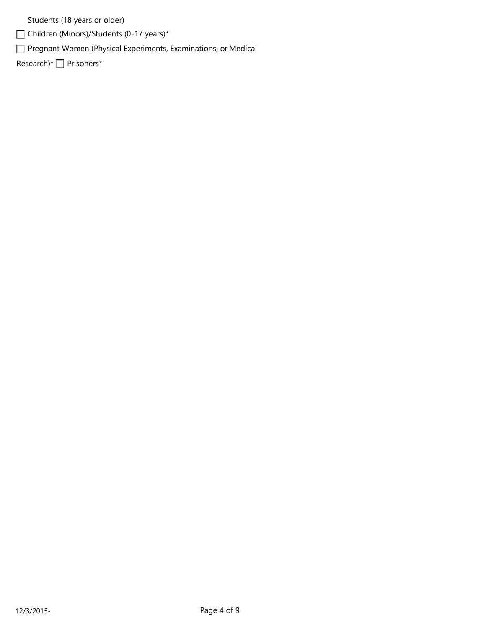Students (18 years or older)

Children (Minors)/Students (0-17 years)\*

Pregnant Women (Physical Experiments, Examinations, or Medical

Research)\* Prisoners\*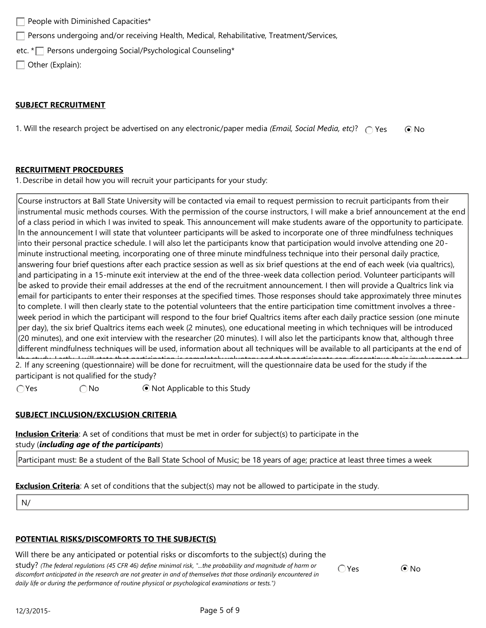$\Box$  People with Diminished Capacities\*

 $\Box$  Persons undergoing and/or receiving Health, Medical, Rehabilitative, Treatment/Services,

etc. \* Persons undergoing Social/Psychological Counseling \*

Other (Explain):

### **SUBJECT RECRUITMENT**

1. Will the research project be advertised on any electronic/paper media *(Email, Social Media, etc)*?  $\bigcap$  Yes  $\bigcirc$  No

### **RECRUITMENT PROCEDURES**

1. Describe in detail how you will recruit your participants for your study:

Course instructors at Ball State University will be contacted via email to request permission to recruit participants from their instrumental music methods courses. With the permission of the course instructors, I will make a brief announcement at the end of a class period in which I was invited to speak. This announcement will make students aware of the opportunity to participate. In the announcement I will state that volunteer participants will be asked to incorporate one of three mindfulness techniques into their personal practice schedule. I will also let the participants know that participation would involve attending one 20 minute instructional meeting, incorporating one of three minute mindfulness technique into their personal daily practice, answering four brief questions after each practice session as well as six brief questions at the end of each week (via qualtrics), and participating in a 15-minute exit interview at the end of the three-week data collection period. Volunteer participants will be asked to provide their email addresses at the end of the recruitment announcement. I then will provide a Qualtrics link via email for participants to enter their responses at the specified times. Those responses should take approximately three minutes to complete. I will then clearly state to the potential volunteers that the entire participation time comittment involves a threeweek period in which the participant will respond to the four brief Qualtrics items after each daily practice session (one minute per day), the six brief Qualtrics items each week (2 minutes), one educational meeting in which techniques will be introduced (20 minutes), and one exit interview with the researcher (20 minutes). I will also let the participants know that, although three different mindfulness techniques will be used, information about all techniques will be available to all participants at the end of the study. Lastly, I will state that participation is completely voluntary and that participants can discontinue their involvement at 2. If any screening (questionnaire) will be done for recruitment, will the questionnaire data be used for the study if the participant is not qualified for the study?

 $\bigcirc$  Yes  $\bigcirc$  No  $\bigcirc$  Not Applicable to this Study

### **SUBJECT INCLUSION/EXCLUSION CRITERIA**

**Inclusion Criteria**: A set of conditions that must be met in order for subject(s) to participate in the study (*including age of the participants*)

Participant must: Be a student of the Ball State School of Music; be 18 years of age; practice at least three times a week

**Exclusion Criteria**: A set of conditions that the subject(s) may not be allowed to participate in the study.

N/ A

### **POTENTIAL RISKS/DISCOMFORTS TO THE SUBJECT(S)**

#### Will there be any anticipated or potential risks or discomforts to the subject(s) during the

study? *(The federal regulations (45 CFR 46) define minimal risk, "...the probability and magnitude of harm or*  discomfort anticipated in the research are not greater in and of themselves that those ordinarily encountered in *daily life or during the performance of routine physical or psychological examinations or tests.")*

 $OYes$   $ONO$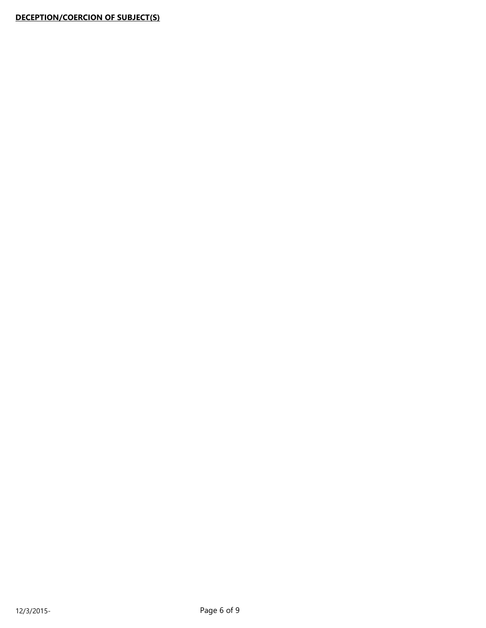# **DECEPTION/COERCION OF SUBJECT(S)**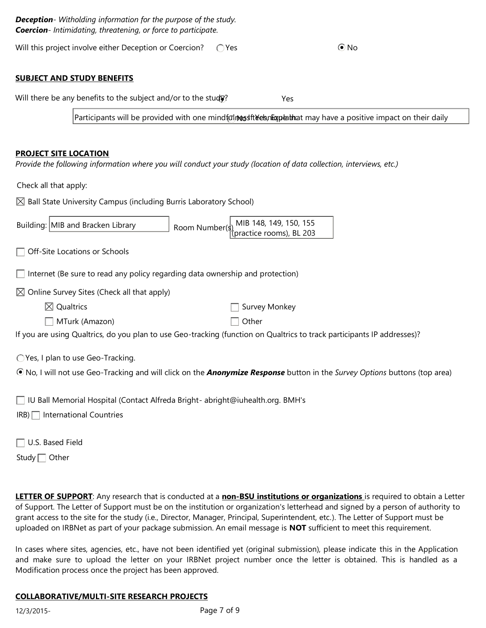| <b>Deception</b> - Witholding information for the purpose of the study.<br><b>Coercion</b> - Intimidating, threatening, or force to participate. |  |            |  |  |  |  |
|--------------------------------------------------------------------------------------------------------------------------------------------------|--|------------|--|--|--|--|
| Will this project involve either Deception or Coercion? $\bigcirc$ Yes                                                                           |  | $\odot$ No |  |  |  |  |

### **SUBJECT AND STUDY BENEFITS**

Will there be any benefits to the subject and/or to the study? Yes

Participants will be provided with one mindfulnes the ebnlique that may have a positive impact on their daily

#### **PROJECT SITE LOCATION**

*Provide the following information where you will conduct your study (location of data collection, interviews, etc.)*

Check all that apply:

 $\boxtimes$  Ball State University Campus (including Burris Laboratory School)

| Building: MIB and Bracken Library | Room Number(s) MIB 148, 149, 150, 155<br>(practice rooms), BL 203 |
|-----------------------------------|-------------------------------------------------------------------|
|                                   |                                                                   |

□ Off-Site Locations or Schools

 $\Box$  Internet (Be sure to read any policy regarding data ownership and protection)

 $\boxtimes$  Online Survey Sites (Check all that apply)

| $\boxtimes$ Qualtrics | □ Survey Monkey |
|-----------------------|-----------------|
|-----------------------|-----------------|

| MTurk (Amazon) |  |
|----------------|--|
|----------------|--|

 $\Box$  Other

If you are using Qualtrics, do you plan to use Geo-tracking (function on Qualtrics to track participants IP addresses)?

Yes, I plan to use Geo-Tracking.

No, I will not use Geo-Tracking and will click on the *Anonymize Response* button in the *Survey Options* buttons (top area)

[IU Ball Memorial Hospital \(Contact Alfreda Bright-](mailto:abright@iuhealth.org) abright@iuhealth.org. BMH's

IRB) | International Countries

Study  $\Box$  Other

**LETTER OF SUPPORT**: Any research that is conducted at a **non-BSU institutions or organizations** is required to obtain a Letter of Support. The Letter of Support must be on the institution or organization's letterhead and signed by a person of authority to grant access to the site for the study (i.e., Director, Manager, Principal, Superintendent, etc.). The Letter of Support must be uploaded on IRBNet as part of your package submission. An email message is **NOT** sufficient to meet this requirement.

In cases where sites, agencies, etc., have not been identified yet (original submission), please indicate this in the Application and make sure to upload the letter on your IRBNet project number once the letter is obtained. This is handled as a Modification process once the project has been approved.

#### **COLLABORATIVE/MULTI-SITE RESEARCH PROJECTS**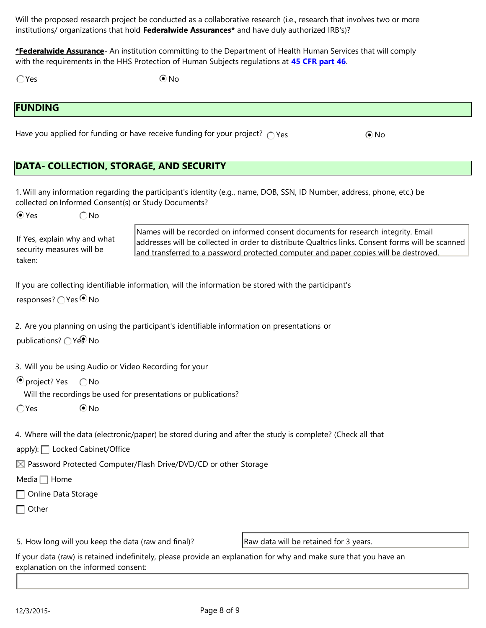Will the proposed research project be conducted as a collaborative research (i.e., research that involves two or more institutions/ organizations that hold **Federalwide Assurances\*** and have duly authorized IRB's)?

**\*Federalwide Assurance**- An institution committing to the Department of Health Human Services that will comply with the requirements in the HHS Protection of Human Subjects regulations at **45 CFR part 46**.

 $\bigcirc$  Yes  $\bigcirc$  No

# **FUNDING**

Have you applied for funding or have receive funding for your project?  $\bigcap$  Yes  $\bigcirc$  No

# **DATA- COLLECTION, STORAGE, AND SECURITY**

1. Will any information regarding the participant's identity (e.g., name, DOB, SSN, ID Number, address, phone, etc.) be collected on Informed Consent(s) or Study Documents?

 $\bigcirc$  Yes  $\bigcirc$  No

security measures will be

taken:

If Yes, explain why and what Names will be recorded on informed consent documents for research integrity. Email addresses will be collected in order to distribute Qualtrics links. Consent forms will be scanned and transferred to a password protected computer and paper copies will be destroyed.

If you are collecting identifiable information, will the information be stored with the participant's

responses? ○ Yes <sup>●</sup> No

2. Are you planning on using the participant's identifiable information on presentations or

publications? ○ Yes No

3. Will you be using Audio or Video Recording for your

 $\odot$  project? Yes  $\odot$  No

Will the recordings be used for presentations or publications?

 $\bigcap$ Yes  $\bigcirc$  No

4. Where will the data (electronic/paper) be stored during and after the study is complete? (Check all that

apply): Locked Cabinet/Office

 $\boxtimes$  Password Protected Computer/Flash Drive/DVD/CD or other Storage

Media  $\Box$  Home

Online Data Storage

 $\Box$  Other

5. How long will you keep the data (raw and final)?

Raw data will be retained for 3 years.

If your data (raw) is retained indefinitely, please provide an explanation for why and make sure that you have an explanation on the informed consent: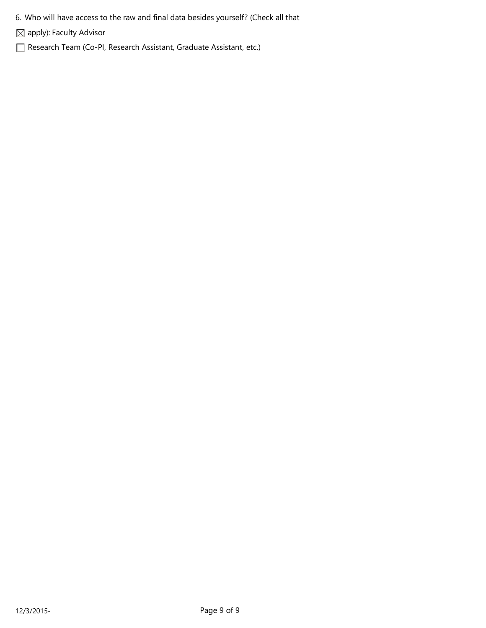- 6. Who will have access to the raw and final data besides yourself? (Check all that
- $\boxtimes$  apply): Faculty Advisor
- Research Team (Co-PI, Research Assistant, Graduate Assistant, etc.)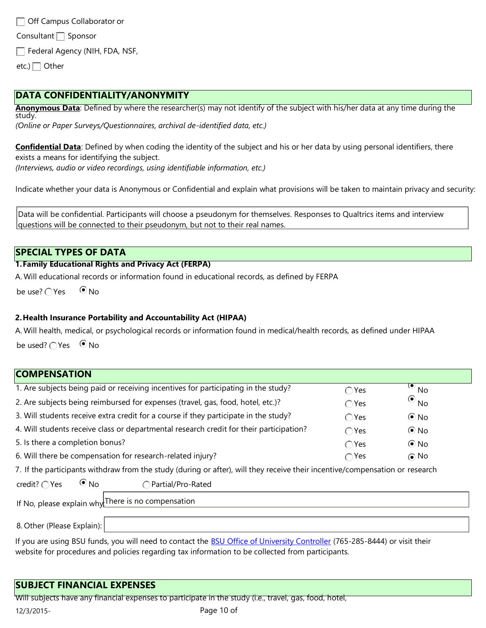Off Campus Collaborator or Consultant  $\Box$  Sponsor Federal Agency (NIH, FDA, NSF, etc.)  $\Box$  Other

# **DATA CONFIDENTIALITY/ANONYMITY**

**Anonymous Data**: Defined by where the researcher(s) may not identify of the subject with his/her data at any time during the study.

*(Online or Paper Surveys/Questionnaires, archival de-identified data, etc.)*

**Confidential Data**: Defined by when coding the identity of the subject and his or her data by using personal identifiers, there exists a means for identifying the subject. *(Interviews, audio or video recordings, using identifiable information, etc.)*

Indicate whether your data is Anonymous or Confidential and explain what provisions will be taken to maintain privacy and security:

Data will be confidential. Participants will choose a pseudonym for themselves. Responses to Qualtrics items and interview questions will be connected to their pseudonym, but not to their real names.

# **SPECIAL TYPES OF DATA**

### **1.Family Educational Rights and Privacy Act (FERPA)**

A. Will educational records or information found in educational records, as defined by FERPA

be use?  $\bigcap$  Yes  $\bigcirc$  No

### **2.Health Insurance Portability and Accountability Act (HIPAA)**

A. Will health, medical, or psychological records or information found in medical/health records, as defined under HIPAA

be used?  $\bigcirc$  Yes  $\bigcirc$  No

# **COMPENSATION**

| 1. Are subjects being paid or receiving incentives for participating in the study?                                                          | $\bigcirc$ Yes | $\overline{\bullet}_{\mathsf{No}}$ |  |
|---------------------------------------------------------------------------------------------------------------------------------------------|----------------|------------------------------------|--|
| 2. Are subjects being reimbursed for expenses (travel, gas, food, hotel, etc.)?                                                             | $\bigcap$ Yes  | $\odot$ <sub>No</sub>              |  |
| 3. Will students receive extra credit for a course if they participate in the study?                                                        | $\bigcirc$ Yes | $\odot$ No                         |  |
| 4. Will students receive class or departmental research credit for their participation?                                                     | $\bigcirc$ Yes | $\odot$ No                         |  |
| 5. Is there a completion bonus?                                                                                                             | ∩Yes           | $\odot$ No                         |  |
| 6. Will there be compensation for research-related injury?                                                                                  | $\bigcap$ Yes  | $\odot$ No                         |  |
| 7 The consistence with developments and children or often, will there as a children and the interest of the mean and then are as a constant |                |                                    |  |

7. If the participants withdraw from the study (during or after), will they receive their incentive/compensation or research

| credit? $\bigcirc$ Yes      | $\odot$ No | Partial/Pro-Rated                                  |  |
|-----------------------------|------------|----------------------------------------------------|--|
|                             |            | If No, please explain why There is no compensation |  |
| $\sim$ $\sim$<br>$\sqrt{2}$ |            |                                                    |  |

8. Other (Please Explain):

If you are using BSU funds, you will need to contact the BSU Office of University Controller (765-285-8444) or visit their website for procedures and policies regarding tax information to be collected from participants.

# **SUBJECT FINANCIAL EXPENSES**

Will subjects have any financial expenses to participate in the study (i.e., travel, gas, food, hotel,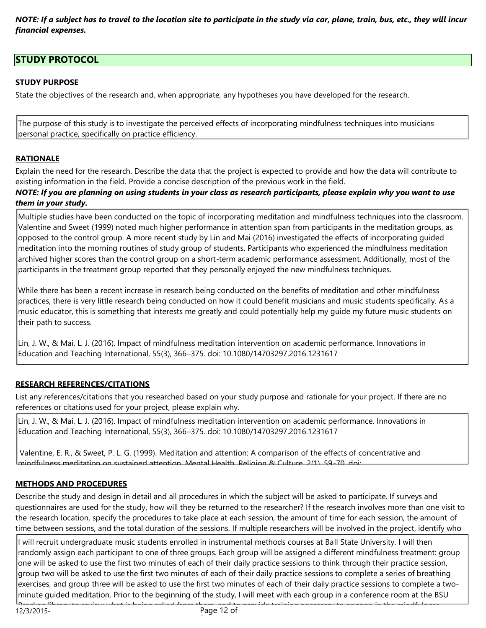*NOTE: If a subject has to travel to the location site to participate in the study via car, plane, train, bus, etc., they will incur financial expenses.*

# **STUDY PROTOCOL**

# **STUDY PURPOSE**

State the objectives of the research and, when appropriate, any hypotheses you have developed for the research.

The purpose of this study is to investigate the perceived effects of incorporating mindfulness techniques into musicians personal practice, specifically on practice efficiency.

## **RATIONALE**

Explain the need for the research. Describe the data that the project is expected to provide and how the data will contribute to existing information in the field. Provide a concise description of the previous work in the field.

### *NOTE: If you are planning on using students in your class as research participants, please explain why you want to use them in your study.*

Multiple studies have been conducted on the topic of incorporating meditation and mindfulness techniques into the classroom. Valentine and Sweet (1999) noted much higher performance in attention span from participants in the meditation groups, as opposed to the control group. A more recent study by Lin and Mai (2016) investigated the effects of incorporating guided meditation into the morning routines of study group of students. Participants who experienced the mindfulness meditation archived higher scores than the control group on a short-term academic performance assessment. Additionally, most of the participants in the treatment group reported that they personally enjoyed the new mindfulness techniques.

While there has been a recent increase in research being conducted on the benefits of meditation and other mindfulness practices, there is very little research being conducted on how it could benefit musicians and music students specifically. As a music educator, this is something that interests me greatly and could potentially help my guide my future music students on their path to success.

Lin, J. W., & Mai, L. J. (2016). Impact of mindfulness meditation intervention on academic performance. Innovations in Education and Teaching International, 55(3), 366–375. doi: 10.1080/14703297.2016.1231617

## mindfulness meditation on sustained attention. Mental Health, Religion & Culture, 2(1), 59-70. doi: **RESEARCH REFERENCES/CITATIONS**

List any references/citations that you researched based on your study purpose and rationale for your project. If there are no references or citations used for your project, please explain why.

Lin, J. W., & Mai, L. J. (2016). Impact of mindfulness meditation intervention on academic performance. Innovations in Education and Teaching International, 55(3), 366–375. doi: 10.1080/14703297.2016.1231617

Valentine, E. R., & Sweet, P. L. G. (1999). Meditation and attention: A comparison of the effects of concentrative and mindfulness meditation on sustained attention. Mental Health, Religion & Culture, 2(1), 59-70. doi:

## **METHODS AND PROCEDURES**

Describe the study and design in detail and all procedures in which the subject will be asked to participate. If surveys and questionnaires are used for the study, how will they be returned to the researcher? If the research involves more than one visit to the research location, specify the procedures to take place at each session, the amount of time for each session, the amount of time between sessions, and the total duration of the sessions. If multiple researchers will be involved in the project, identify who

I will recruit undergraduate music students enrolled in instrumental methods courses at Ball State University. I will then randomly assign each participant to one of three groups. Each group will be assigned a different mindfulness treatment: group one will be asked to use the first two minutes of each of their daily practice sessions to think through their practice session, group two will be asked to use the first two minutes of each of their daily practice sessions to complete a series of breathing exercises, and group three will be asked to use the first two minutes of each of their daily practice sessions to complete a twominute guided meditation. Prior to the beginning of the study, I will meet with each group in a conference room at the BSU Bracken library to review what is being asked from them, and to provide training necessary to engage in the mindfulness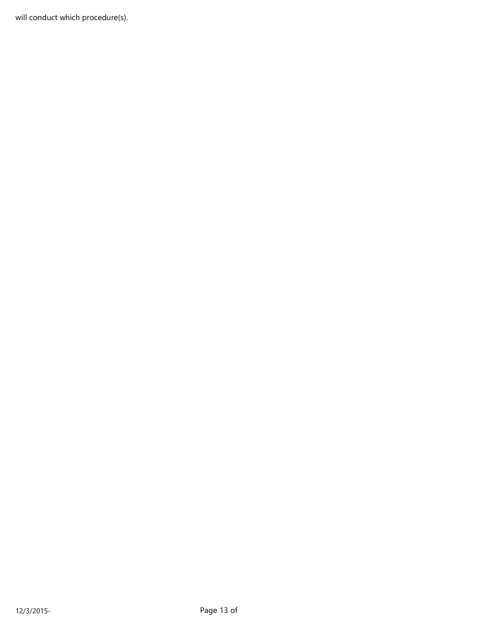will conduct which procedure(s).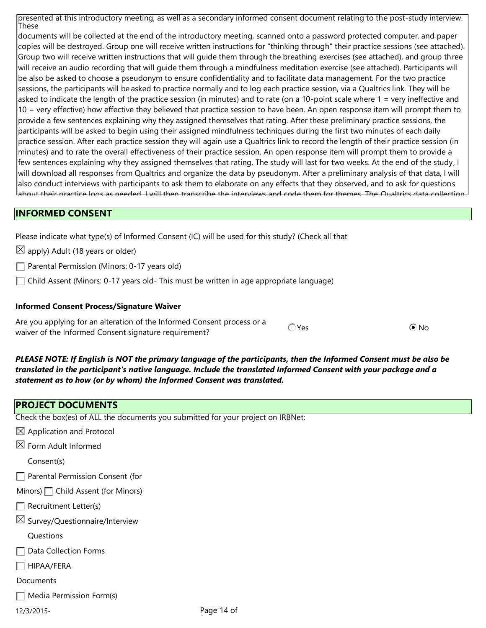presented at this introductory meeting, as well as a secondary informed consent document relating to the post-study interview. These

documents will be collected at the end of the introductory meeting, scanned onto a password protected computer, and paper copies will be destroyed. Group one will receive written instructions for "thinking through" their practice sessions (see attached). Group two will receive written instructions that will guide them through the breathing exercises (see attached), and group three will receive an audio recording that will guide them through a mindfulness meditation exercise (see attached). Participants will be also be asked to choose a pseudonym to ensure confidentiality and to facilitate data management. For the two practice sessions, the participants will be asked to practice normally and to log each practice session, via a Qualtrics link. They will be asked to indicate the length of the practice session (in minutes) and to rate (on a 10-point scale where 1 = very ineffective and 10 = very effective) how effective they believed that practice session to have been. An open response item will prompt them to provide a few sentences explaining why they assigned themselves that rating. After these preliminary practice sessions, the participants will be asked to begin using their assigned mindfulness techniques during the first two minutes of each daily practice session. After each practice session they will again use a Qualtrics link to record the length of their practice session (in minutes) and to rate the overall effectiveness of their practice session. An open response item will prompt them to provide a few sentences explaining why they assigned themselves that rating. The study will last for two weeks. At the end of the study, I will download all responses from Qualtrics and organize the data by pseudonym. After a preliminary analysis of that data, I will also conduct interviews with participants to ask them to elaborate on any effects that they observed, and to ask for questions about their practice logs as needed. I will then transcribe the interviews and code them for themes. The Qualtrics data collection

#### **INFORMED CONSENT** will be emailed a debrief in which the mindfulness resources and instructions of the mindful form and semi-structured interview protocol are attached to this application. At the end of the data collection period,

Please indicate what type(s) of Informed Consent (IC) will be used for this study? (Check all that

 $\boxtimes$  apply) Adult (18 years or older)

 $\Box$  Parental Permission (Minors: 0-17 years old)

 $\Box$  Child Assent (Minors: 0-17 years old- This must be written in age appropriate language)

### **Informed Consent Process/Signature Waiver**

Are you applying for an alteration of the Informed Consent process or a Are you applying for an atteration of the informed Consent process or a Canada Pres<br>waiver of the Informed Consent signature requirement?

*PLEASE NOTE: If English is NOT the primary language of the participants, then the Informed Consent must be also be translated in the participant's native language. Include the translated Informed Consent with your package and a statement as to how (or by whom) the Informed Consent was translated.*

## **PROJECT DOCUMENTS**

Check the box(es) of ALL the documents you submitted for your project on IRBNet:

| $\boxtimes$ Application and Protocol       |        |
|--------------------------------------------|--------|
| $\boxtimes$ Form Adult Informed            |        |
| Consent(s)                                 |        |
| Parental Permission Consent (for           |        |
| Minors) Child Assent (for Minors)          |        |
| Recruitment Letter(s)                      |        |
| $\boxtimes$ Survey/Questionnaire/Interview |        |
| Questions                                  |        |
| Data Collection Forms                      |        |
| HIPAA/FERA                                 |        |
| Documents                                  |        |
| $\Box$ Media Permission Form(s)            |        |
| 12/3/2015-                                 | Page 1 |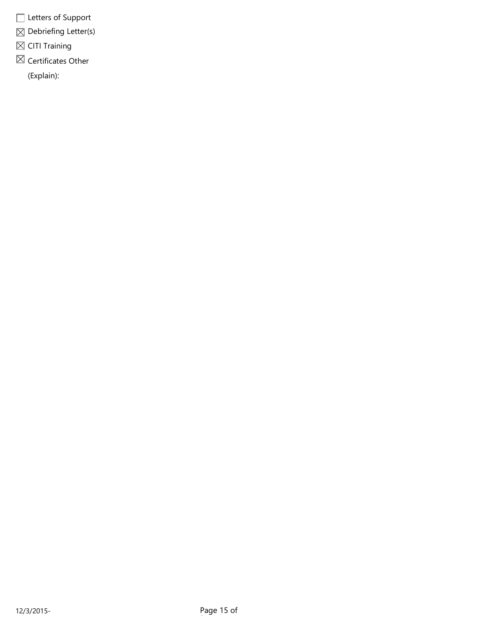- Letters of Support
- $\boxtimes$  Debriefing Letter(s)
- $\boxtimes$  CITI Training
- $\boxtimes$  Certificates Other

(Explain):